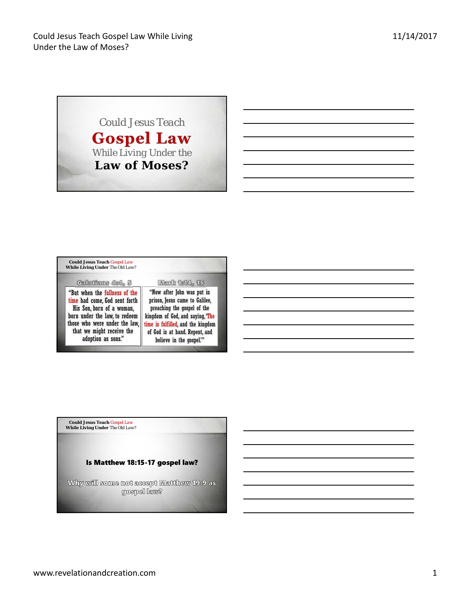*Could Jesus Teach*  **Gospel Law** *While Living Under the*  **Law of Moses?**

| <b>Could Jesus Teach Gospel Law</b><br>While Living Under The Old Law?                                                                                                                                           |                                                                                                                                                                                                                                     |
|------------------------------------------------------------------------------------------------------------------------------------------------------------------------------------------------------------------|-------------------------------------------------------------------------------------------------------------------------------------------------------------------------------------------------------------------------------------|
| Galatians 4:4, 5                                                                                                                                                                                                 | Mark 1:14, 15                                                                                                                                                                                                                       |
| "But when the fullness of the<br>time had come, God sent forth<br>His Son, born of a woman,<br>born under the law, to redeem<br>those who were under the law,<br>that we might receive the<br>adoption as sons." | "Now after John was put in<br>prison, Jesus came to Galilee,<br>preaching the gospel of the<br>kingdom of God, and saying, 'The<br>time is fulfilled, and the kingdom<br>of God is at hand. Repent, and<br>believe in the gospel."" |

**Could Jesus Teach** *Gospel Law*  **While Living Under** *The Old Law*?

## Is Matthew 18:15-17 gospel law?

Why will some not accept Matthew 19:9 as<br>gospel law?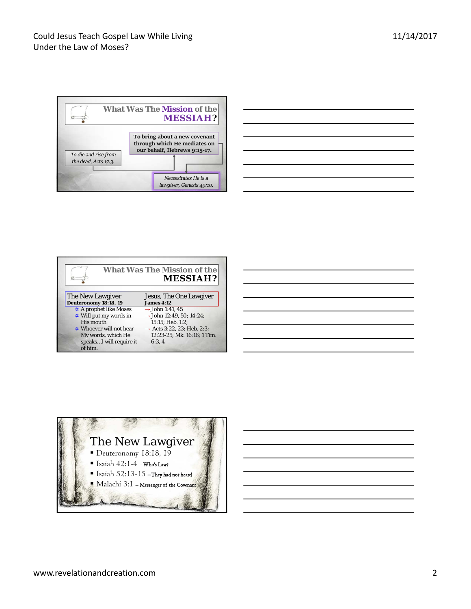

| <u> Andreas Andreas Andreas Andreas Andreas Andreas Andreas Andreas Andreas Andreas Andreas Andreas Andreas Andreas Andreas Andreas Andreas Andreas Andreas Andreas Andreas Andreas Andreas Andreas Andreas Andreas Andreas Andr</u> |  | and the control of the control of |
|--------------------------------------------------------------------------------------------------------------------------------------------------------------------------------------------------------------------------------------|--|-----------------------------------|
|                                                                                                                                                                                                                                      |  |                                   |
| <u> 1989 - Johann Harry Harry Harry Harry Harry Harry Harry Harry Harry Harry Harry Harry Harry Harry Harry Harry H</u>                                                                                                              |  |                                   |
|                                                                                                                                                                                                                                      |  |                                   |
|                                                                                                                                                                                                                                      |  |                                   |
| <u> Alexandro de la contrada de la contrada de la contrada de la contrada de la contrada de la contrada de la con</u>                                                                                                                |  |                                   |
|                                                                                                                                                                                                                                      |  |                                   |

|                                           | <b>What Was The Mission of the</b><br><b>MESSIAH?</b> |
|-------------------------------------------|-------------------------------------------------------|
| The New Lawgiver<br>Deuteronomy 18:18, 19 | Jesus, The One Lawgiver<br><b>James 4:12</b>          |
| $\triangle$ A prophet like Moses          | $\rightarrow$ John 1:41, 45                           |
| $\triangle$ Will put my words in          | $\rightarrow$ John 12:49, 50; 14:24;                  |
| His mouth                                 | 15:15: Heb. 1:2:                                      |
| Whoever will not hear                     | $\rightarrow$ Acts 3:22, 23; Heb. 2:3;                |
| My words, which He                        | 12:23-25: Mk. 16:16: 1 Tim.                           |
| speaksI will require it<br>of him.        | 6:3.4                                                 |